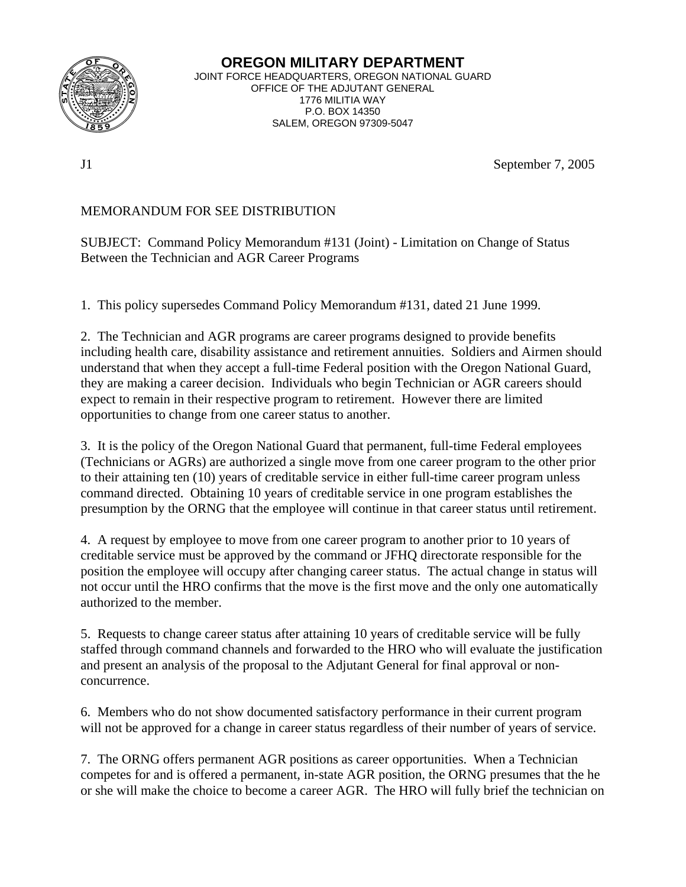

**OREGON MILITARY DEPARTMENT** JOINT FORCE HEADQUARTERS, OREGON NATIONAL GUARD OFFICE OF THE ADJUTANT GENERAL 1776 MILITIA WAY P.O. BOX 14350 SALEM, OREGON 97309-5047

J1 September 7, 2005

## MEMORANDUM FOR SEE DISTRIBUTION

SUBJECT: Command Policy Memorandum #131 (Joint) - Limitation on Change of Status Between the Technician and AGR Career Programs

1. This policy supersedes Command Policy Memorandum #131, dated 21 June 1999.

2. The Technician and AGR programs are career programs designed to provide benefits including health care, disability assistance and retirement annuities. Soldiers and Airmen should understand that when they accept a full-time Federal position with the Oregon National Guard, they are making a career decision. Individuals who begin Technician or AGR careers should expect to remain in their respective program to retirement. However there are limited opportunities to change from one career status to another.

3. It is the policy of the Oregon National Guard that permanent, full-time Federal employees (Technicians or AGRs) are authorized a single move from one career program to the other prior to their attaining ten (10) years of creditable service in either full-time career program unless command directed. Obtaining 10 years of creditable service in one program establishes the presumption by the ORNG that the employee will continue in that career status until retirement.

4. A request by employee to move from one career program to another prior to 10 years of creditable service must be approved by the command or JFHQ directorate responsible for the position the employee will occupy after changing career status. The actual change in status will not occur until the HRO confirms that the move is the first move and the only one automatically authorized to the member.

5. Requests to change career status after attaining 10 years of creditable service will be fully staffed through command channels and forwarded to the HRO who will evaluate the justification and present an analysis of the proposal to the Adjutant General for final approval or nonconcurrence.

6. Members who do not show documented satisfactory performance in their current program will not be approved for a change in career status regardless of their number of years of service.

7. The ORNG offers permanent AGR positions as career opportunities. When a Technician competes for and is offered a permanent, in-state AGR position, the ORNG presumes that the he or she will make the choice to become a career AGR. The HRO will fully brief the technician on